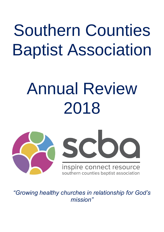# Southern Counties Baptist Association

# Annual Review 2018





inspire connect resource southern counties baptist association

*"Growing healthy churches in relationship for God's mission"*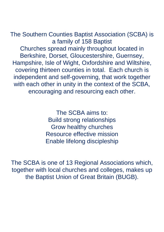The Southern Counties Baptist Association (SCBA) is a family of 158 Baptist Churches spread mainly throughout located in Berkshire, Dorset, Gloucestershire, Guernsey, Hampshire, Isle of Wight, Oxfordshire and Wiltshire, covering thirteen counties in total. Each church is independent and self-governing, that work together with each other in unity in the context of the SCBA, encouraging and resourcing each other.

> The SCBA aims to: Build strong relationships Grow healthy churches Resource effective mission Enable lifelong discipleship

The SCBA is one of 13 Regional Associations which, together with local churches and colleges, makes up the Baptist Union of Great Britain (BUGB).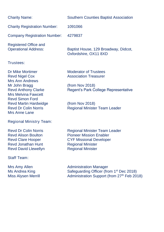| <b>Charity Name:</b>                                                                                                                              | <b>Southern Counties Baptist Association</b>                                                                                                                     |
|---------------------------------------------------------------------------------------------------------------------------------------------------|------------------------------------------------------------------------------------------------------------------------------------------------------------------|
| <b>Charity Registration Number:</b>                                                                                                               | 1091066                                                                                                                                                          |
| <b>Company Registration Number:</b>                                                                                                               | 4279837                                                                                                                                                          |
| <b>Registered Office and</b><br><b>Operational Address:</b>                                                                                       | Baptist House, 129 Broadway, Didcot,<br>Oxfordshire, OX11 8XD                                                                                                    |
| Trustees:                                                                                                                                         |                                                                                                                                                                  |
| <b>Dr Mike Mortimer</b><br><b>Revd Nigel Cox</b><br><b>Mrs Ann Andrews</b>                                                                        | <b>Moderator of Trustees</b><br><b>Association Treasurer</b>                                                                                                     |
| Mr John Bragg<br><b>Revd Anthony Clarke</b><br><b>Mrs Melvina Fawcett</b><br><b>Revd Simon Ford</b>                                               | (from Nov 2018)<br><b>Regent's Park College Representative</b>                                                                                                   |
| <b>Revd Martin Hardwidge</b><br><b>Revd Dr Colin Norris</b><br><b>Mrs Anne Lane</b>                                                               | (from Nov 2018)<br><b>Regional Minister Team Leader</b>                                                                                                          |
| <b>Regional Ministry Team:</b>                                                                                                                    |                                                                                                                                                                  |
| <b>Revd Dr Colin Norris</b><br><b>Revd Alison Boulton</b><br><b>Revd Clare Hooper</b><br><b>Revd Jonathan Hunt</b><br><b>Revd David Llewellyn</b> | <b>Regional Minister Team Leader</b><br><b>Pioneer Mission Enabler</b><br><b>CYF Missional Developer</b><br><b>Regional Minister</b><br><b>Regional Minister</b> |
| <b>Staff Team:</b>                                                                                                                                |                                                                                                                                                                  |
| Mrs Amy Allen                                                                                                                                     | <b>Administration Manager</b>                                                                                                                                    |

Ms Andrea King **Safeguarding Officer** (from 1<sup>st</sup> Dec 2018) Miss Alysen Merrill **Administration Support (from 27<sup>th</sup> Feb 2018)**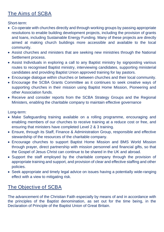# The Aims of SCBA

*Short-term:*

- Co-operate with churches directly and through working groups by passing appropriate resolutions to enable building development projects, including the provision of grants and loans, including Sustainable Energy Funding. Many of these projects are directly aimed at making church buildings more accessible and available to the local community.
- Assist churches and ministers that are seeking new ministries through the National Settlement process.
- Assist Individuals in exploring a call to any Baptist ministry by signposting various routes to recognised Baptist ministry, interviewing candidates, supporting ministerial candidates and providing Baptist Union approved training for lay pastors.
- Encourage dialogue within churches or between churches and their local community.
- Encourage the SCBA Grants Committee as it continues to seek creative ways of supporting churches in their mission using Baptist Home Mission, Pioneering and other Association funds.
- Receive and consider reports from the SCBA Strategy Groups and the Regional Ministers, enabling the charitable company to maintain effective governance

*Long-term:*

- Make Safeguarding training available on a rolling programme, encouraging and enabling members of our churches to receive training at a reduce cost or free, and ensuring that ministers have completed Level 2 & 3 training.
- Ensure, through its Staff, Finance & Administration Group, responsible and effective stewardship of the resources of the charitable company.
- Encourage churches to support Baptist Home Mission and BMS World Mission through prayer, direct partnership with mission personnel and financial gifts, so that the Gospel of Jesus Christ can continue to be shared in the UK and abroad.
- Support the staff employed by the charitable company through the provision of appropriate training and support, and provision of clear and effective staffing and other policies.
- Seek appropriate and timely legal advice on issues having a potentially wide-ranging effect with a view to mitigating risk.

# The Objective of SCBA

The advancement of the Christian Faith especially by means of and in accordance with the principles of the Baptist denomination, as set out for the time being, in the Declaration of Principle of the Baptist Union of Great Britain.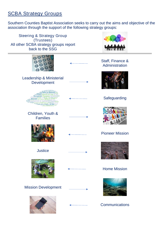# SCBA Strategy Groups

Southern Counties Baptist Association seeks to carry out the aims and objective of the association through the support of the following strategy groups:





Staff, Finance & Administration



## Safeguarding



### Pioneer Mission



## Home Mission



## **Communications**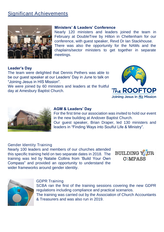## Significant Achievements



#### Ministers' & Leaders' Conference

Nearly 120 ministers and leaders joined the team in February at DoubleTree by Hilton in Cheltenham for our conference, with guest speaker, Revd Dr Ian Stackhouse. There was also the opportunity for the NAMs and the chaplains/sector ministers to get together in separate meetings.

#### Leader's Day

The team were delighted that Dennis Pethers was able to be our guest speaker at our Leaders' Day in June to talk on "Joining Jesus in HIS Mission".

We were joined by 60 ministers and leaders at the fruitful day at Amesbury Baptist Church.





#### AGM & Leaders' Day

For the first time our association was invited to hold our event in the new building at Andover Baptist Church. Our guest speaker, Brian Draper, led 130 ministers and leaders in "Finding Ways into Soulful Life & Ministry".

#### Gender Identity Training

Nearly 100 leaders and members of our churches attended this specific training held on two separate dates in 2018. The training was led by Natalie Collins from 'Build Your Own Compass" and provided an opportunity to understand the wider frameworks around gender identity.





#### GDPR Training

SCBA ran the first of the training sessions covering the new GDPR regulations including compliance and practical scenarios. The training was carried out by the Association of Church Accountants & Treasurers and was also run in 2019.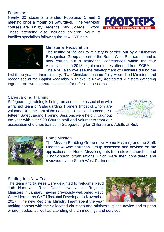#### Footsteps

Nearly 30 students attended Footsteps 1 and 2 meeting once a month on Saturdays. The year-long courses are run by Regent's Park College, Oxford. Those attending also included children, youth & families specialists following the new CYF path.





#### Ministerial Recognition

The testing of the call to ministry is carried out by a Ministerial Recognition Group as part of the South West Partnership and is now carried out a residential conferences within the four Associations. In 2018, eight candidates attended from SCBA. The RMT also oversee the development of Ministers during the

first three years if their ministry. Two Ministers became Fully Accredited Ministers and recognised at the Baptist Assembly, with twelve Newly Accredited Ministers gathering together on two separate occasions for reflective sessions.

#### Safeguarding Training

Safeguarding training is being run across the association with a trained team of Safeguarding Trainers (most of whom are volunteers) in the light of the national policies and procedures. Fifteen Safeguarding Training Sessions were held throughout the year with over 500 Church staff and volunteers from our



association churches trained in Safeguarding for Children and Adults at Risk



#### Home Mission

The Mission Enabling Group (now Home Mission) and the Staff, Finance & Administration Group assessed and advised on the applications for Home Mission grants from eleven churches and 4 non-church organisations which were then considered and reviewed by the South West Partnership.

#### Settling in a New Team

The team and trustees were delighted to welcome Revd Joth Hunt and Revd Dave Llewellyn as Regional Ministers in January, having previously welcomed Revd Clare Hooper as CYF Missional Developer in November 2017. The new Regional Ministry Team spent the year



making contact with their allocated churches and ministers, giving advice and support where needed, as well as attending church meetings and services.